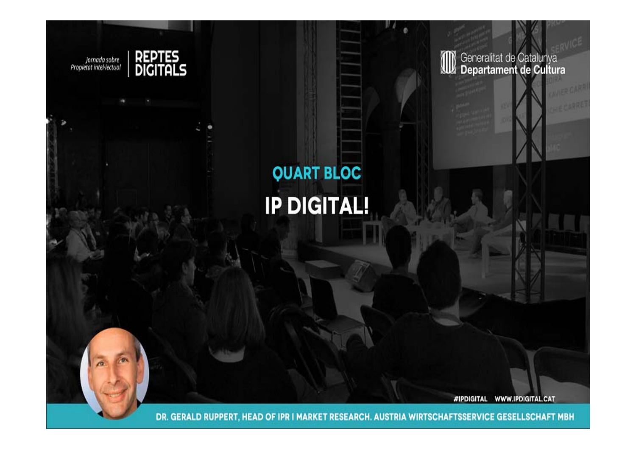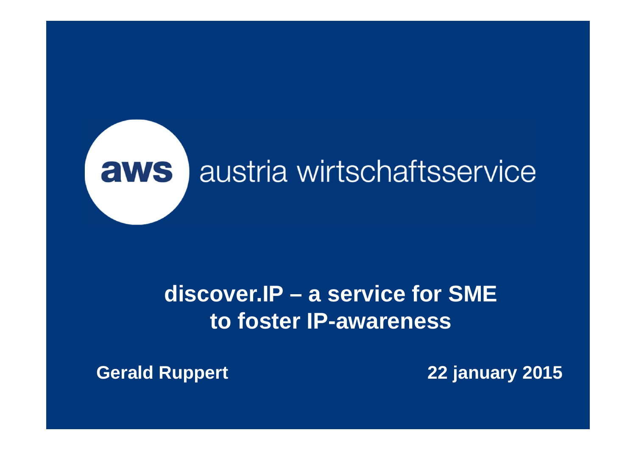

### **discover.IP – a service for SME to foster IP-awareness**

**Gerald Ruppert 22 january 2015**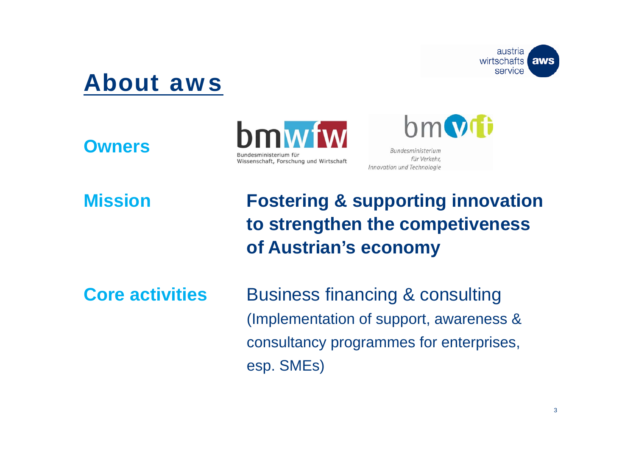

### About aws

**Owners**





**Mission**

 **Fostering & supporting innovation to strengthen the competiveness of Austrian's economy**

**Core activities**

 Business financing & consulting (Implementation of support, awareness & consultancy programmes for enterprises, esp. SMEs)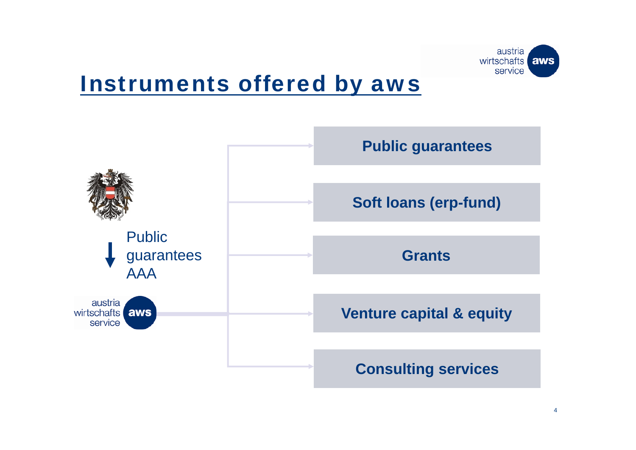

### Instruments offered by aws

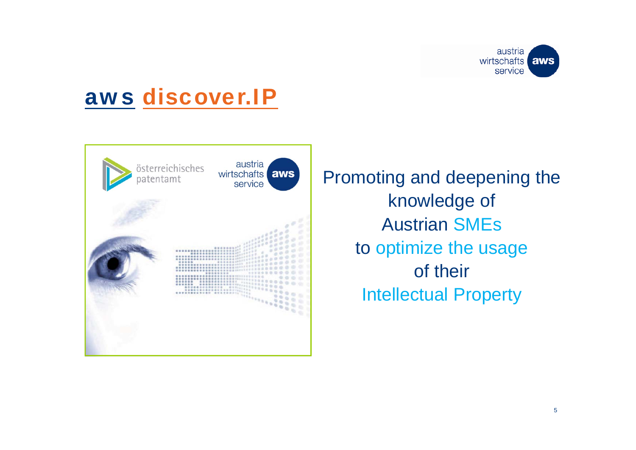



Promoting and deepening the knowledge of Austrian SMEsto optimize the usage of their Intellectual Property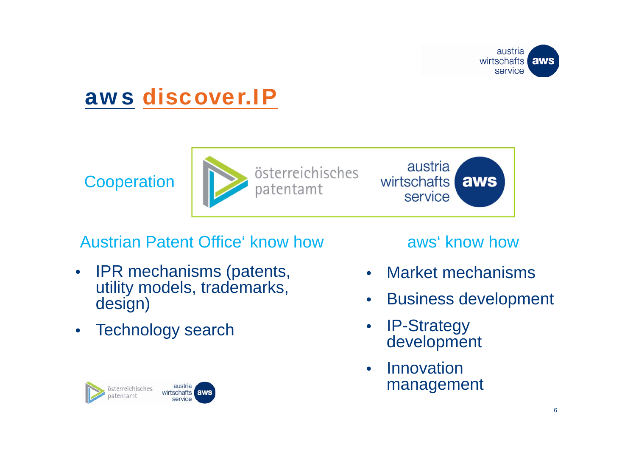

**Cooperation** 



austria wirtschafts aws service

### Austrian Patent Office' know how

- $\bullet$  IPR mechanisms (patents, utility models, trademarks, design)
- $\bullet$ Technology search

#### austria österreichisches wirtschafts aws atentamt service

#### aws' know how

- $\bullet$ Market mechanisms
- $\bullet$ Business development
- $\bullet$  IP-Strategy development
- $\bullet$  Innovation management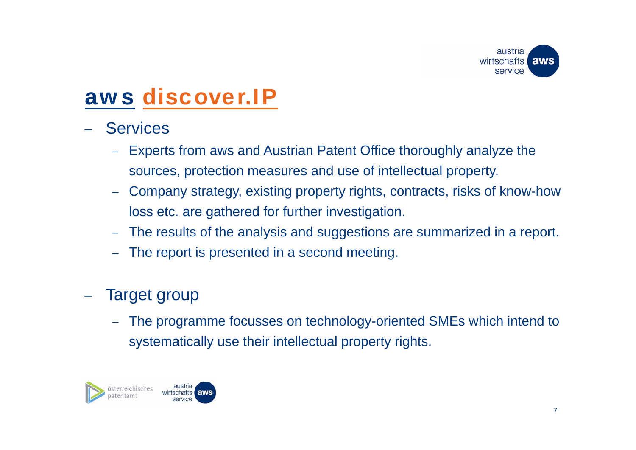

- Services
	- Experts from aws and Austrian Patent Office thoroughly analyze the sources, protection measures and use of intellectual property.
	- Company strategy, existing property rights, contracts, risks of know-how loss etc. are gathered for further investigation.
	- $\equiv$ The results of the analysis and suggestions are summarized in a report.
	- $\equiv$ The report is presented in a second meeting.

#### Target group

 The programme focusses on technology-oriented SMEs which intend to systematically use their intellectual property rights.

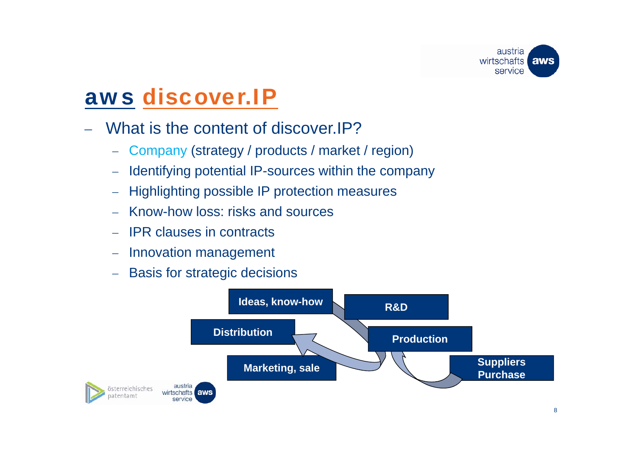

- What is the content of discover.IP?
	- $\overline{\phantom{m}}$ Company (strategy / products / market / region)
	- $\equiv$ Identifying potential IP-sources within the company
	- $\frac{1}{2}$ Highlighting possible IP protection measures
	- Know-how loss: risks and sources
	- IPR clauses in contracts
	- $\equiv$ Innovation management
	- $\equiv$ Basis for strategic decisions

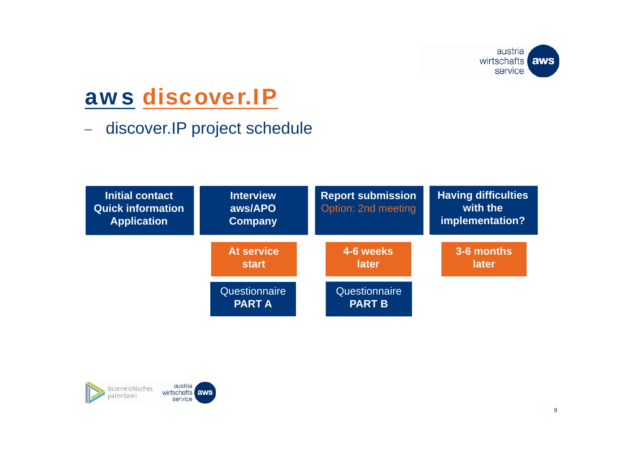

 $\overline{\phantom{m}}$ discover.IP project schedule



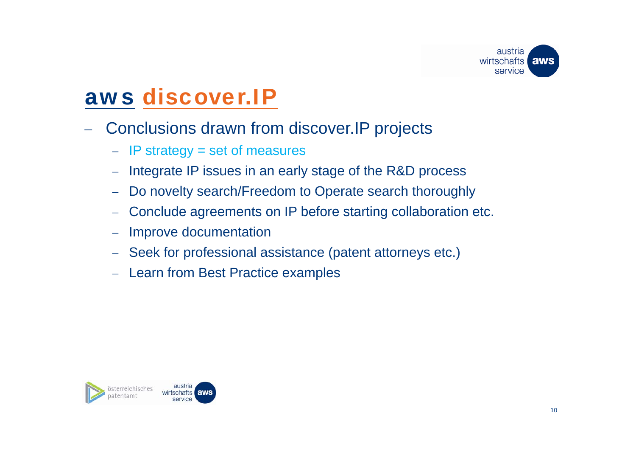

- Conclusions drawn from discover.IP projects
	- IP strategy = set of measures
	- $\overline{\phantom{m}}$ Integrate IP issues in an early stage of the R&D process
	- $\equiv$ Do novelty search/Freedom to Operate search thoroughly
	- $\equiv$ Conclude agreements on IP before starting collaboration etc.
	- $\equiv$ Improve documentation
	- Seek for professional assistance (patent attorneys etc.)
	- Learn from Best Practice examples

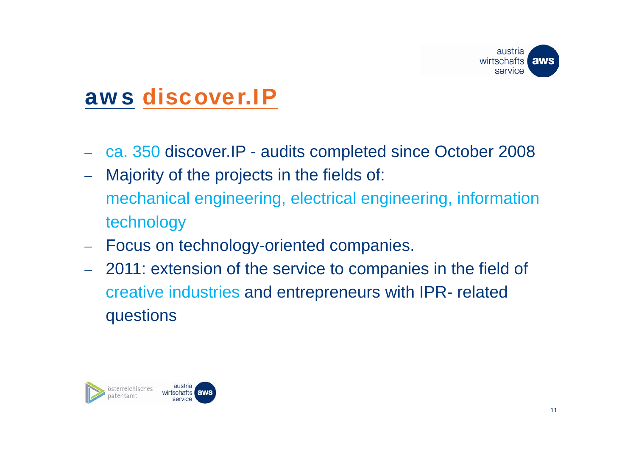

- ca. 350 discover.IP audits completed since October 2008
- Majority of the projects in the fields of: mechanical engineering, electrical engineering, information technology
- Focus on technology-oriented companies.
- 2011: extension of the service to companies in the field of creative industries and entrepreneurs with IPR- related questions

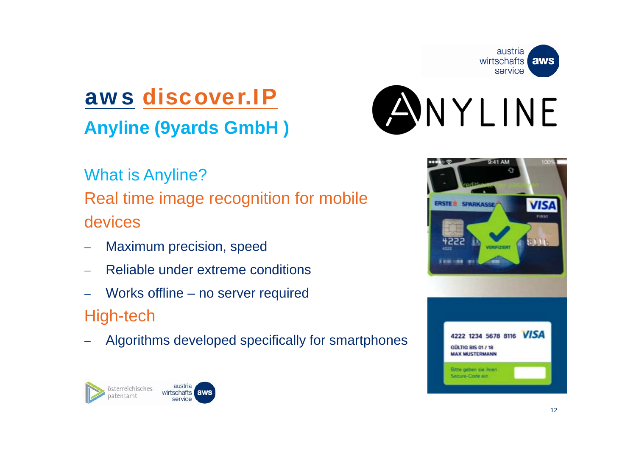

**Anyline (9yards GmbH )**



What is Anyline? Real time image recognition for mobile devices

- Maximum precision, speed
- Reliable under extreme conditions
- Works offline no server required

High-tech

Algorithms developed specifically for smartphones



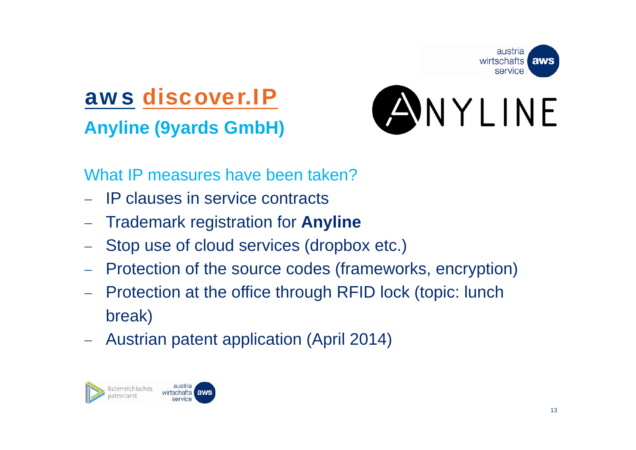

### aws discover.IP**Anyline (9yards GmbH)**



What IP measures have been taken?

- IP clauses in service contracts
- Trademark registration for **Anyline**
- Stop use of cloud services (dropbox etc.)
- Protection of the source codes (frameworks, encryption)
- Protection at the office through RFID lock (topic: lunch break)
- Austrian patent application (April 2014)

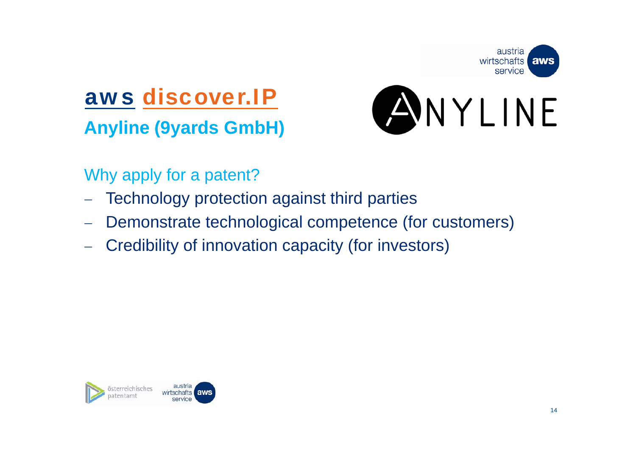

**Anyline (9yards GmbH)**



Why apply for a patent?

- Technology protection against third parties
- Demonstrate technological competence (for customers)
- Credibility of innovation capacity (for investors)